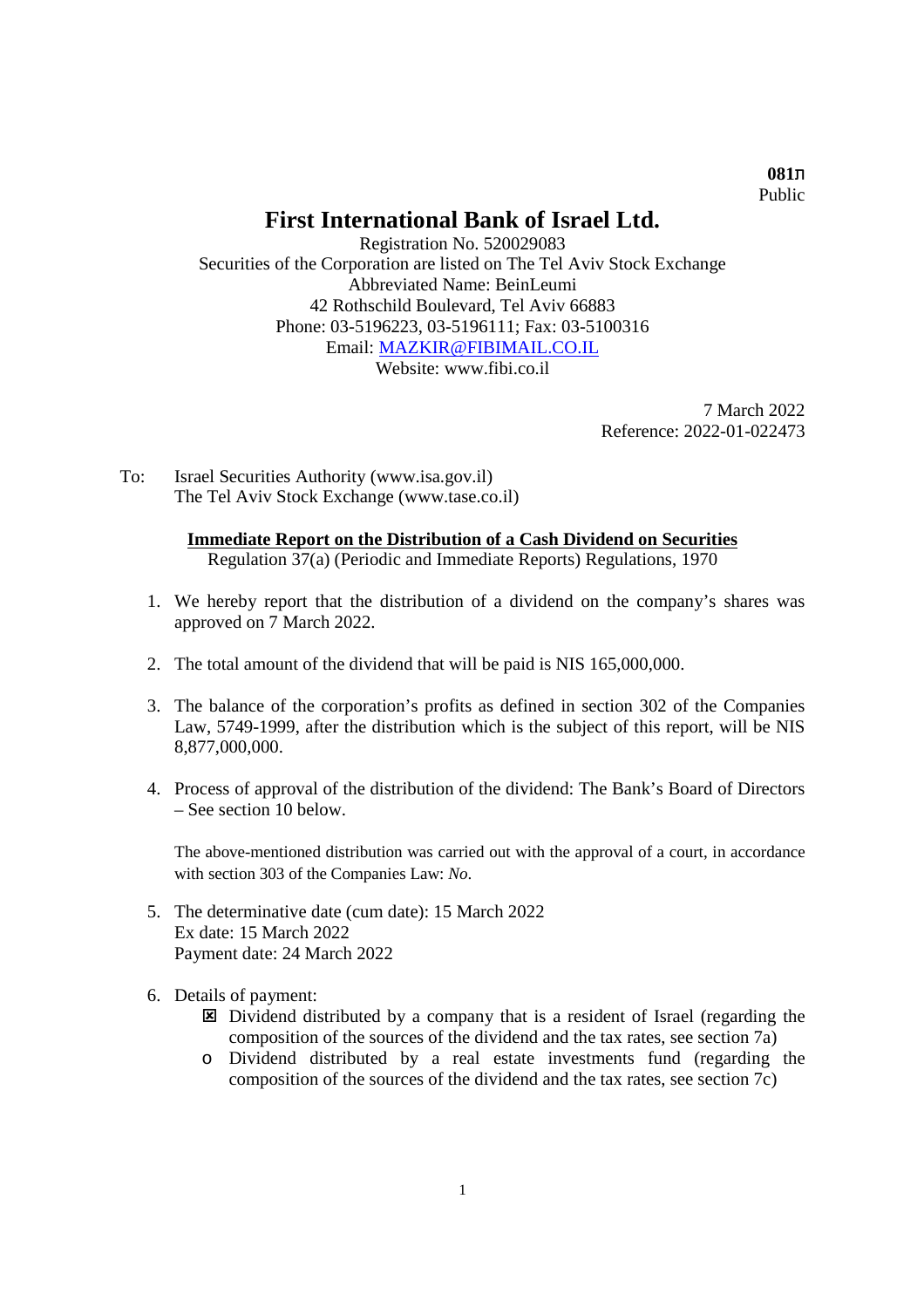ת**081** Public

## **First International Bank of Israel Ltd.**

Registration No. 520029083 Securities of the Corporation are listed on The Tel Aviv Stock Exchange Abbreviated Name: BeinLeumi 42 Rothschild Boulevard, Tel Aviv 66883 Phone: 03-5196223, 03-5196111; Fax: 03-5100316 Email: MAZKIR@FIBIMAIL.CO.IL Website: www.fibi.co.jl

> 7 March 2022 Reference: 2022-01-022473

To: Israel Securities Authority (www.isa.gov.il) The Tel Aviv Stock Exchange (www.tase.co.il)

## **Immediate Report on the Distribution of a Cash Dividend on Securities**

Regulation 37(a) (Periodic and Immediate Reports) Regulations, 1970

- 1. We hereby report that the distribution of a dividend on the company's shares was approved on 7 March 2022.
- 2. The total amount of the dividend that will be paid is NIS 165,000,000.
- 3. The balance of the corporation's profits as defined in section 302 of the Companies Law, 5749-1999, after the distribution which is the subject of this report, will be NIS 8,877,000,000.
- 4. Process of approval of the distribution of the dividend: The Bank's Board of Directors – See section 10 below.

The above-mentioned distribution was carried out with the approval of a court, in accordance with section 303 of the Companies Law: *No*.

- 5. The determinative date (cum date): 15 March 2022 Ex date: 15 March 2022 Payment date: 24 March 2022
- 6. Details of payment:
	- Dividend distributed by a company that is a resident of Israel (regarding the composition of the sources of the dividend and the tax rates, see section 7a)
	- o Dividend distributed by a real estate investments fund (regarding the composition of the sources of the dividend and the tax rates, see section 7c)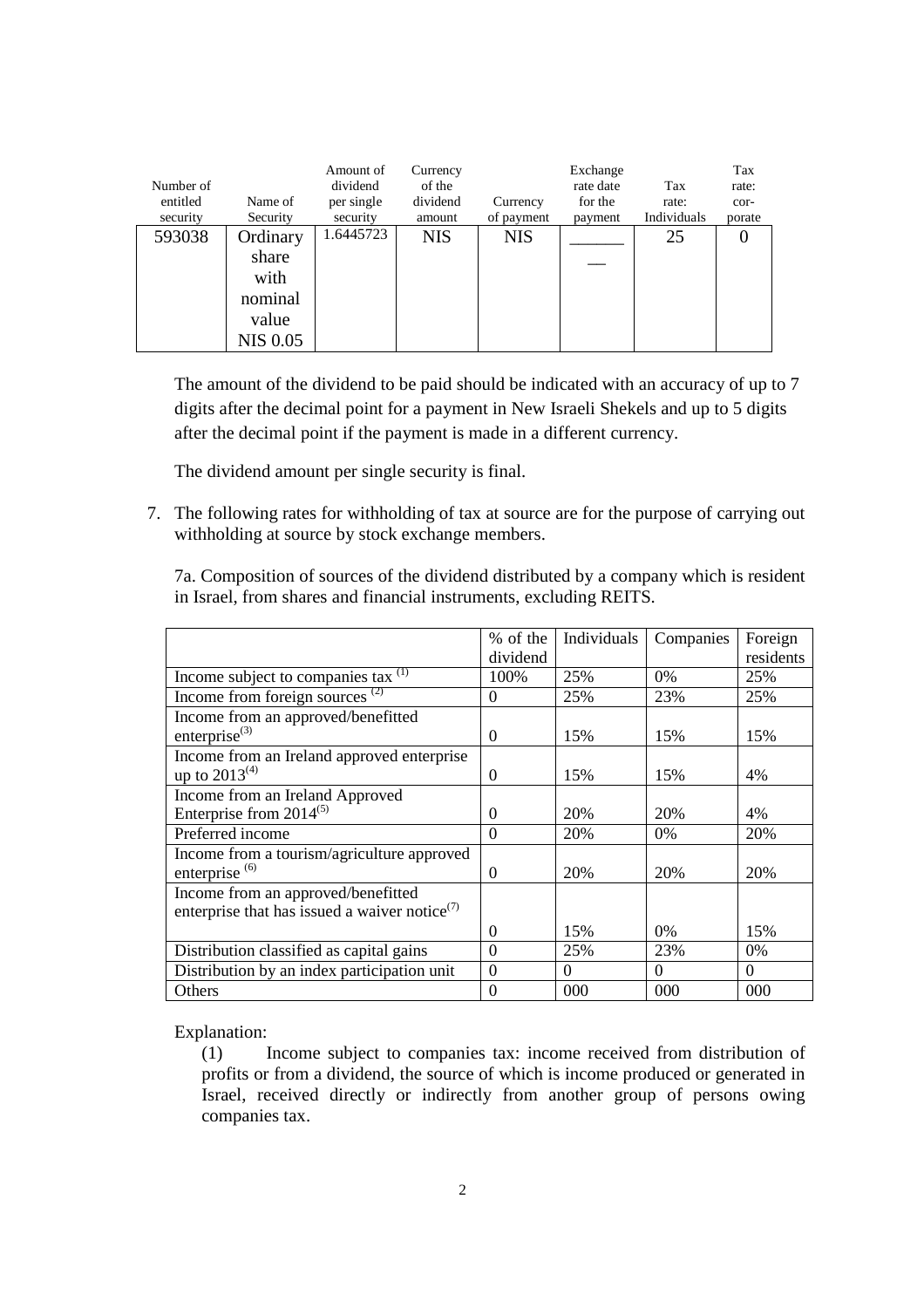| Number of<br>entitled<br>security | Name of<br>Security                           | Amount of<br>dividend<br>per single<br>security | Currency<br>of the<br>dividend<br>amount | Currency<br>of payment | Exchange<br>rate date<br>for the<br>payment | Tax<br>rate:<br>Individuals | Tax<br>rate:<br>cor-<br>porate |
|-----------------------------------|-----------------------------------------------|-------------------------------------------------|------------------------------------------|------------------------|---------------------------------------------|-----------------------------|--------------------------------|
| 593038                            | Ordinary<br>share<br>with<br>nominal<br>value | 1.6445723                                       | <b>NIS</b>                               | <b>NIS</b>             |                                             | 25                          |                                |
|                                   | <b>NIS 0.05</b>                               |                                                 |                                          |                        |                                             |                             |                                |

The amount of the dividend to be paid should be indicated with an accuracy of up to 7 digits after the decimal point for a payment in New Israeli Shekels and up to 5 digits after the decimal point if the payment is made in a different currency.

The dividend amount per single security is final.

7. The following rates for withholding of tax at source are for the purpose of carrying out withholding at source by stock exchange members.

7a. Composition of sources of the dividend distributed by a company which is resident in Israel, from shares and financial instruments, excluding REITS.

|                                                           | % of the | Individuals | Companies | Foreign   |
|-----------------------------------------------------------|----------|-------------|-----------|-----------|
|                                                           | dividend |             |           | residents |
| Income subject to companies tax $(1)$                     | 100%     | 25%         | $0\%$     | 25%       |
| Income from foreign sources $(2)$                         | $\Omega$ | 25%         | 23%       | 25%       |
| Income from an approved/benefitted                        |          |             |           |           |
| enterprise $^{(3)}$                                       | $\Omega$ | 15%         | 15%       | 15%       |
| Income from an Ireland approved enterprise                |          |             |           |           |
| up to $2013^{(4)}$                                        | $\Omega$ | 15%         | 15%       | 4%        |
| Income from an Ireland Approved                           |          |             |           |           |
| Enterprise from $2014^{(5)}$                              | $\theta$ | 20%         | 20%       | 4%        |
| Preferred income                                          | $\theta$ | 20%         | 0%        | 20%       |
| Income from a tourism/agriculture approved                |          |             |           |           |
| enterprise <sup>(6)</sup>                                 | $\Omega$ | 20%         | 20%       | 20%       |
| Income from an approved/benefitted                        |          |             |           |           |
| enterprise that has issued a waiver notice <sup>(7)</sup> |          |             |           |           |
|                                                           | $\Omega$ | 15%         | $0\%$     | 15%       |
| Distribution classified as capital gains                  | $\theta$ | 25%         | 23%       | $0\%$     |
| Distribution by an index participation unit               | $\Omega$ | $\Omega$    | $\Omega$  | $\Omega$  |
| Others                                                    | $\theta$ | 000         | 000       | 000       |

Explanation:

(1) Income subject to companies tax: income received from distribution of profits or from a dividend, the source of which is income produced or generated in Israel, received directly or indirectly from another group of persons owing companies tax.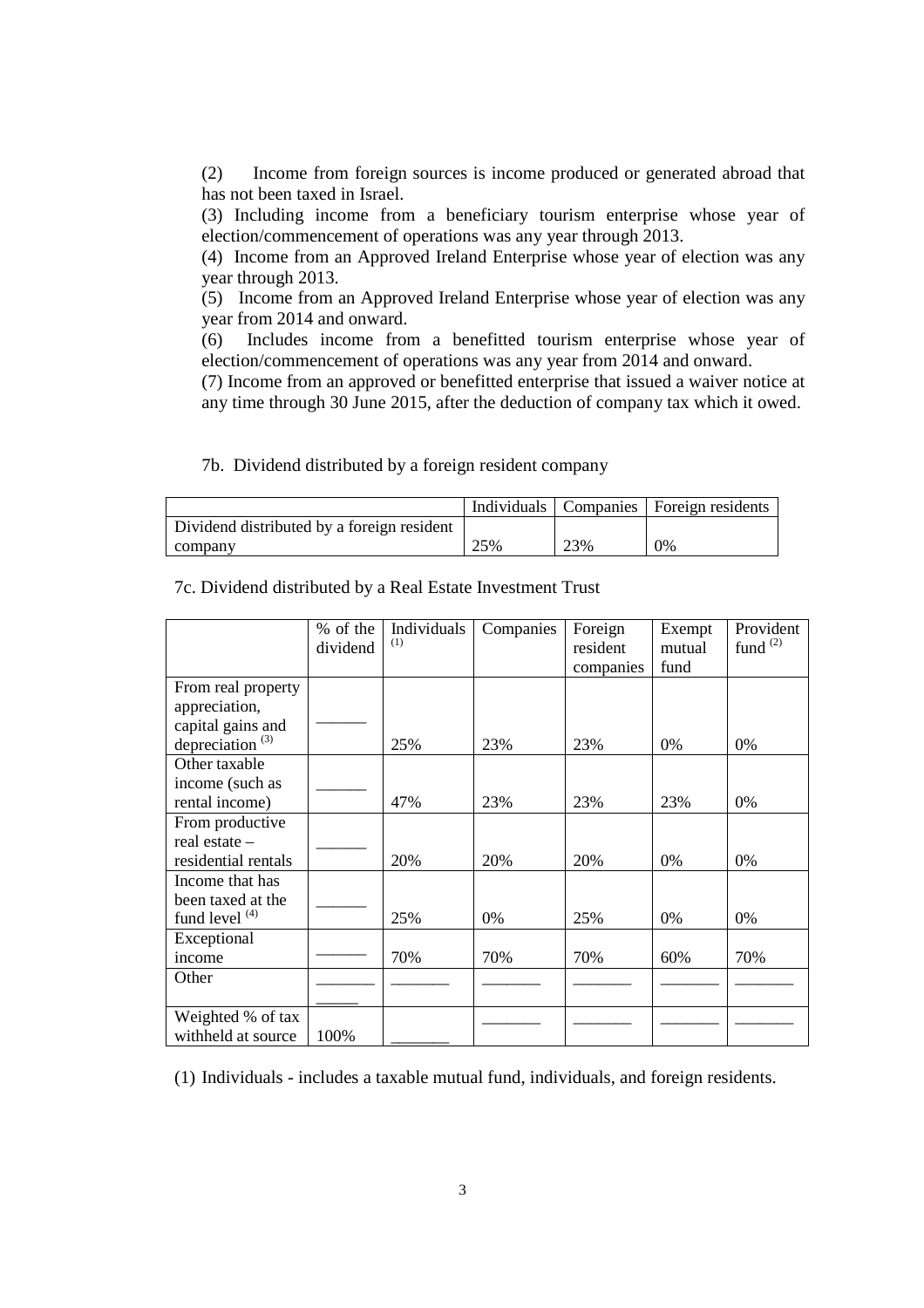(2) Income from foreign sources is income produced or generated abroad that has not been taxed in Israel.

(3) Including income from a beneficiary tourism enterprise whose year of election/commencement of operations was any year through 2013.

(4) Income from an Approved Ireland Enterprise whose year of election was any year through 2013.

(5) Income from an Approved Ireland Enterprise whose year of election was any year from 2014 and onward.

(6) Includes income from a benefitted tourism enterprise whose year of election/commencement of operations was any year from 2014 and onward.

(7) Income from an approved or benefitted enterprise that issued a waiver notice at any time through 30 June 2015, after the deduction of company tax which it owed.

|                             | % of the | Individuals | Companies | Foreign   | Exempt | Provident     |
|-----------------------------|----------|-------------|-----------|-----------|--------|---------------|
|                             | dividend | (1)         |           | resident  | mutual | fund $^{(2)}$ |
|                             |          |             |           | companies | fund   |               |
| From real property          |          |             |           |           |        |               |
| appreciation,               |          |             |           |           |        |               |
| capital gains and           |          |             |           |           |        |               |
| depreciation <sup>(3)</sup> |          | 25%         | 23%       | 23%       | 0%     | $0\%$         |
| Other taxable               |          |             |           |           |        |               |
| income (such as             |          |             |           |           |        |               |
| rental income)              |          | 47%         | 23%       | 23%       | 23%    | 0%            |
| From productive             |          |             |           |           |        |               |
| real estate -               |          |             |           |           |        |               |
| residential rentals         |          | 20%         | 20%       | 20%       | $0\%$  | $0\%$         |
| Income that has             |          |             |           |           |        |               |
| been taxed at the           |          |             |           |           |        |               |
| fund level $(4)$            |          | 25%         | 0%        | 25%       | 0%     | 0%            |
| Exceptional                 |          |             |           |           |        |               |
| income                      |          | 70%         | 70%       | 70%       | 60%    | 70%           |
| Other                       |          |             |           |           |        |               |
|                             |          |             |           |           |        |               |
| Weighted % of tax           |          |             |           |           |        |               |
| withheld at source          | 100%     |             |           |           |        |               |

Individuals Companies Foreign residents

7c. Dividend distributed by a Real Estate Investment Trust

Dividend distributed by a foreign resident

(1) Individuals - includes a taxable mutual fund, individuals, and foreign residents.

## 7b. Dividend distributed by a foreign resident company

company  $25\%$   $23\%$   $0\%$